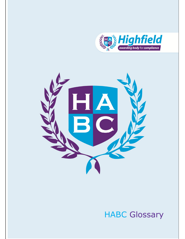



## HABC Glossary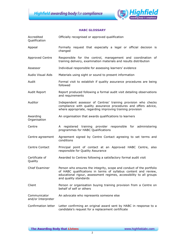

## HABC GLOSSARY

| Accredited<br>Qualification | Officially recognised or approved qualification                                                                                                                                                                                         |
|-----------------------------|-----------------------------------------------------------------------------------------------------------------------------------------------------------------------------------------------------------------------------------------|
| Appeal                      | Formally request that especially a legal or official decision is<br>changed                                                                                                                                                             |
| <b>Approved Centre</b>      | Responsible for the control, management and coordination of<br>training delivery, examination materials and results distribution                                                                                                        |
| Assessor                    | Individual responsible for assessing learners' evidence                                                                                                                                                                                 |
| Audio Visual Aids           | Materials using sight or sound to present information                                                                                                                                                                                   |
| Audit                       | Formal visit to establish if quality assurance procedures are being<br>followed                                                                                                                                                         |
| Audit Report                | Report produced following a formal audit visit detailing observations<br>and requirements                                                                                                                                               |
| Auditor                     | Independent assessor of Centres' training provision who checks<br>compliance with quality assurance procedures and offers advice,<br>where appropriate, regarding improving training provision                                          |
| Awarding<br>Organisation    | An organisation that awards qualifications to learners                                                                                                                                                                                  |
| Centre                      | A registered training provider responsible for administering<br>programmes for HABC Qualifications                                                                                                                                      |
| Centre agreement            | Agreement signed by Centre Contact agreeing to set terms and<br>conditions                                                                                                                                                              |
| Centre Contact              | Principal point of contact at an Approved HABC Centre, also<br>responsible for Quality Assurance                                                                                                                                        |
| Certificate of<br>Quality   | Awarded to Centres following a satisfactory formal audit visit                                                                                                                                                                          |
| Chief Examiner              | Person who ensures the integrity, scope and conduct of the portfolio<br>of HABC qualifications in terms of syllabus content and review,<br>educational rigour, assessment regimes, accessibility to all groups<br>and quality standards |
| Client                      | Person or organisation buying training provision from a Centre on<br>behalf of self or others                                                                                                                                           |
| Communicator                | An advocate who represents someone else                                                                                                                                                                                                 |
| and/or Interpreter          |                                                                                                                                                                                                                                         |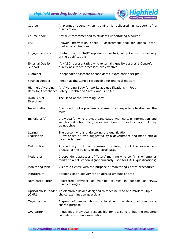**Highfield awarding body for compliance** 



| Course                             | A planned event when training is delivered in support of a<br>qualification                                                                             |
|------------------------------------|---------------------------------------------------------------------------------------------------------------------------------------------------------|
| Course book                        | Key text recommended to students undertaking a course                                                                                                   |
| EAS                                | Answer information sheet - assessment tool for optical scan-<br>marked examinations                                                                     |
| Engagement visit                   | Contact from a HABC representative to Quality Assure the delivery<br>of the qualifications                                                              |
| <b>External Quality</b><br>Support | A HABC representative who externally quality assures a Centre's<br>quality assurance processes are effective                                            |
| Examiner                           | Independent assessor of candidates' examination scripts                                                                                                 |
| Finance contact                    | Person at the Centre responsible for financial matters                                                                                                  |
| Highfield Awarding                 | An Awarding Body for workplace qualifications in Food<br>Body for Compliance Safety, Health and Safety and First Aid                                    |
| <b>HABC Chief</b><br>Executive     | The Head of the Awarding Body                                                                                                                           |
| Investigation                      | Examination of a problem, statement, etc especially to discover the<br>truth                                                                            |
| Invigilator(s)                     | Individual(s) who provide candidates with certain information and<br>watch candidates taking an examination in order to check that they<br>do not cheat |
| Learner<br>Legislation             | The person who is undertaking the qualification<br>A law or set of laws suggested by a government and made official<br>by a parliament                  |
| Malpractice                        | Any activity that compromises the integrity of the assessment<br>process or the validity of the certificates                                            |
| Moderator                          | Independent assessor of Tutors' marking who confirms or amends<br>marks to a set standard (not currently used for HABC qualifications)                  |
| Monitoring Visit                   | Visit to a Centre with the purpose of monitoring Centre procedures                                                                                      |
| Moratorium                         | Stopping of an activity for an agreed amount of time                                                                                                    |
| Nominated Tutor                    | Registered provider of training courses in support of HABC<br>qualification(s)                                                                          |
| (OMR)                              | Optical Mark Reader An electronic device designed to machine read and mark multiple-<br>choice examination questions                                    |
| Organisation                       | A group of people who work together in a structured way for a<br>shared purpose                                                                         |
| Overwriter                         | A qualified individual responsible for assisting a hearing-impaired<br>candidate with an examination                                                    |